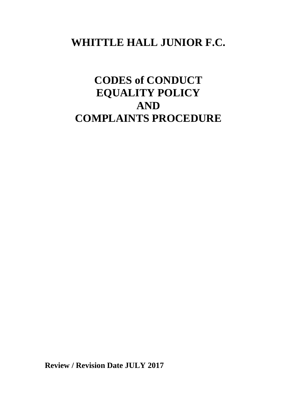## **WHITTLE HALL JUNIOR F.C.**

# **CODES of CONDUCT EQUALITY POLICY AND COMPLAINTS PROCEDURE**

**Review / Revision Date JULY 2017**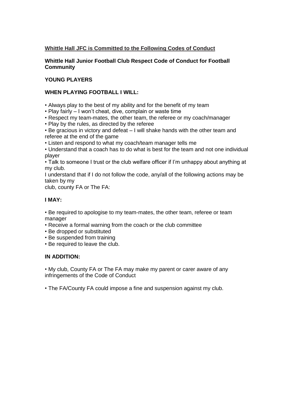#### **Whittle Hall JFC is Committed to the Following Codes of Conduct**

**Whittle Hall Junior Football Club Respect Code of Conduct for Football Community**

#### **YOUNG PLAYERS**

#### **WHEN PLAYING FOOTBALL I WILL:**

- Always play to the best of my ability and for the benefit of my team
- Play fairly I won't cheat, dive, complain or waste time
- Respect my team-mates, the other team, the referee or my coach/manager
- Play by the rules, as directed by the referee
- Be gracious in victory and defeat I will shake hands with the other team and referee at the end of the game
- Listen and respond to what my coach/team manager tells me

• Understand that a coach has to do what is best for the team and not one individual player

• Talk to someone I trust or the club welfare officer if I'm unhappy about anything at my club.

I understand that if I do not follow the code, any/all of the following actions may be taken by my

club, county FA or The FA:

#### **I MAY:**

• Be required to apologise to my team-mates, the other team, referee or team manager

- Receive a formal warning from the coach or the club committee
- Be dropped or substituted
- Be suspended from training
- Be required to leave the club.

#### **IN ADDITION:**

• My club, County FA or The FA may make my parent or carer aware of any infringements of the Code of Conduct

• The FA/County FA could impose a fine and suspension against my club.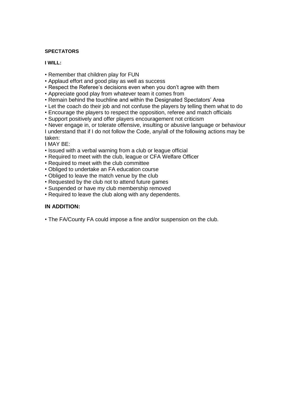#### **SPECTATORS**

#### **I WILL:**

- Remember that children play for FUN
- Applaud effort and good play as well as success
- Respect the Referee's decisions even when you don't agree with them
- Appreciate good play from whatever team it comes from
- Remain behind the touchline and within the Designated Spectators' Area
- Let the coach do their job and not confuse the players by telling them what to do
- Encourage the players to respect the opposition, referee and match officials
- Support positively and offer players encouragement not criticism
- Never engage in, or tolerate offensive, insulting or abusive language or behaviour I understand that if I do not follow the Code, any/all of the following actions may be taken:

I MAY BE:

- Issued with a verbal warning from a club or league official
- Required to meet with the club, league or CFA Welfare Officer
- Required to meet with the club committee
- Obliged to undertake an FA education course
- Obliged to leave the match venue by the club
- Requested by the club not to attend future games
- Suspended or have my club membership removed
- Required to leave the club along with any dependents.

#### **IN ADDITION:**

• The FA/County FA could impose a fine and/or suspension on the club.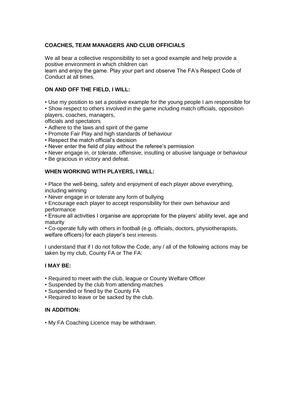#### **COACHES, TEAM MANAGERS AND CLUB OFFICIALS**

We all bear a collective responsibility to set a good example and help provide a positive environment in which children can

learn and enjoy the game. Play your part and observe The FA's Respect Code of Conduct at all times.

#### **ON AND OFF THE FIELD, I WILL:**

• Use my position to set a positive example for the young people I am responsible for • Show respect to others involved in the game including match officials, opposition players, coaches, managers,

officials and spectators

• Adhere to the laws and spirit of the game

- Promote Fair Play and high standards of behaviour
- Respect the match official's decision
- Never enter the field of play without the referee's permission
- Never engage in, or tolerate, offensive, insulting or abusive language or behaviour

• Be gracious in victory and defeat.

#### **WHEN WORKING WITH PLAYERS, I WILL:**

• Place the well-being, safety and enjoyment of each player above everything, including winning

• Never engage in or tolerate any form of bullying

• Encourage each player to accept responsibility for their own behaviour and performance

• Ensure all activities I organise are appropriate for the players' ability level, age and maturity

• Co-operate fully with others in football (e.g. officials, doctors, physiotherapists, welfare officers) for each player's best interests.

I understand that if I do not follow the Code, any / all of the following actions may be taken by my club, County FA or The FA:

#### **I MAY BE:**

- Required to meet with the club, league or County Welfare Officer
- Suspended by the club from attending matches
- Suspended or fined by the County FA
- Required to leave or be sacked by the club.

#### **IN ADDITION:**

• My FA Coaching Licence may be withdrawn.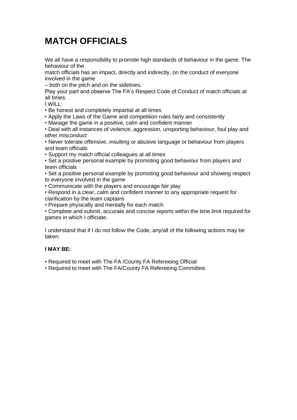## **MATCH OFFICIALS**

We all have a responsibility to promote high standards of behaviour in the game. The behaviour of the

match officials has an impact, directly and indirectly, on the conduct of everyone involved in the game

– both on the pitch and on the sidelines.

Play your part and observe The FA's Respect Code of Conduct of match officials at all times.

I WILL:

• Be honest and completely impartial at all times

• Apply the Laws of the Game and competition rules fairly and consistently

• Manage the game in a positive, calm and confident manner

• Deal with all instances of violence, aggression, unsporting behaviour, foul play and other misconduct

• Never tolerate offensive, insulting or abusive language or behaviour from players and team officials

• Support my match official colleagues at all times

• Set a positive personal example by promoting good behaviour from players and team officials

• Set a positive personal example by promoting good behaviour and showing respect to everyone involved in the game

• Communicate with the players and encourage fair play

• Respond in a clear, calm and confident manner to any appropriate request for clarification by the team captains

• Prepare physically and mentally for each match

• Complete and submit, accurate and concise reports within the time limit required for games in which I officiate.

I understand that if I do not follow the Code, any/all of the following actions may be taken:

#### **I MAY BE:**

• Required to meet with The FA /County FA Refereeing Official

• Required to meet with The FA/County FA Refereeing Committee.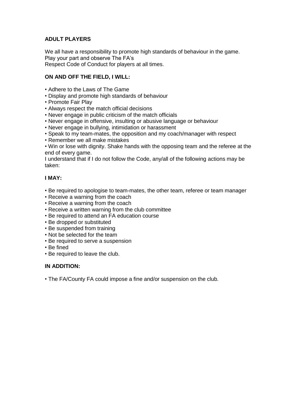#### **ADULT PLAYERS**

We all have a responsibility to promote high standards of behaviour in the game. Play your part and observe The FA's Respect Code of Conduct for players at all times.

#### **ON AND OFF THE FIELD, I WILL:**

- Adhere to the Laws of The Game
- Display and promote high standards of behaviour
- Promote Fair Play
- Always respect the match official decisions
- Never engage in public criticism of the match officials
- Never engage in offensive, insulting or abusive language or behaviour
- Never engage in bullying, intimidation or harassment
- Speak to my team-mates, the opposition and my coach/manager with respect
- Remember we all make mistakes

• Win or lose with dignity. Shake hands with the opposing team and the referee at the end of every game.

I understand that if I do not follow the Code, any/all of the following actions may be taken:

#### **I MAY:**

- Be required to apologise to team-mates, the other team, referee or team manager
- Receive a warning from the coach
- Receive a warning from the coach
- Receive a written warning from the club committee
- Be required to attend an FA education course
- Be dropped or substituted
- Be suspended from training
- Not be selected for the team
- Be required to serve a suspension
- Be fined
- Be required to leave the club.

#### **IN ADDITION:**

• The FA/County FA could impose a fine and/or suspension on the club.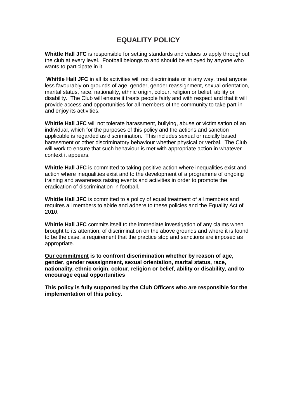### **EQUALITY POLICY**

**Whittle Hall JFC** is responsible for setting standards and values to apply throughout the club at every level. Football belongs to and should be enjoyed by anyone who wants to participate in it.

**Whittle Hall JFC** in all its activities will not discriminate or in any way, treat anyone less favourably on grounds of age, gender, gender reassignment, sexual orientation, marital status, race, nationality, ethnic origin, colour, religion or belief, ability or disability. The Club will ensure it treats people fairly and with respect and that it will provide access and opportunities for all members of the community to take part in and enjoy its activities.

**Whittle Hall JFC** will not tolerate harassment, bullying, abuse or victimisation of an individual, which for the purposes of this policy and the actions and sanction applicable is regarded as discrimination. This includes sexual or racially based harassment or other discriminatory behaviour whether physical or verbal. The Club will work to ensure that such behaviour is met with appropriate action in whatever context it appears.

**Whittle Hall JFC** is committed to taking positive action where inequalities exist and action where inequalities exist and to the development of a programme of ongoing training and awareness raising events and activities in order to promote the eradication of discrimination in football.

**Whittle Hall JFC** is committed to a policy of equal treatment of all members and requires all members to abide and adhere to these policies and the Equality Act of 2010.

**Whittle Hall JFC** commits itself to the immediate investigation of any claims when brought to its attention, of discrimination on the above grounds and where it is found to be the case, a requirement that the practice stop and sanctions are imposed as appropriate.

**Our commitment is to confront discrimination whether by reason of age, gender, gender reassignment, sexual orientation, marital status, race, nationality, ethnic origin, colour, religion or belief, ability or disability, and to encourage equal opportunities** 

**This policy is fully supported by the Club Officers who are responsible for the implementation of this policy.**